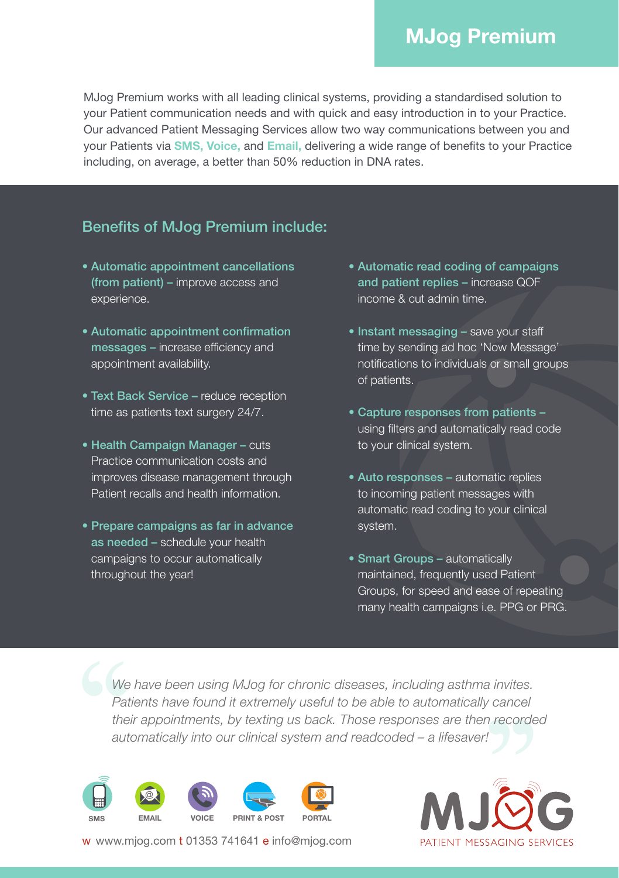## **MJog Premium**

MJog Premium works with all leading clinical systems, providing a standardised solution to your Patient communication needs and with quick and easy introduction in to your Practice. Our advanced Patient Messaging Services allow two way communications between you and your Patients via **SMS, Voice,** and **Email,** delivering a wide range of benefits to your Practice including, on average, a better than 50% reduction in DNA rates.

## Benefits of MJog Premium include:

- Automatic appointment cancellations (from patient) – improve access and experience.
- Automatic appointment confirmation messages – increase efficiency and appointment availability.
- Text Back Service reduce reception time as patients text surgery 24/7.
- Health Campaign Manager cuts Practice communication costs and improves disease management through Patient recalls and health information.
- Prepare campaigns as far in advance as needed – schedule your health campaigns to occur automatically throughout the year!
- Automatic read coding of campaigns and patient replies – increase QOF income & cut admin time.
- Instant messaging save your staff time by sending ad hoc 'Now Message' notifications to individuals or small groups of patients.
- Capture responses from patients using filters and automatically read code to your clinical system.
- Auto responses automatic replies to incoming patient messages with automatic read coding to your clinical system.
- Smart Groups automatically maintained, frequently used Patient Groups, for speed and ease of repeating many health campaigns i.e. PPG or PRG.

*We have been using MJog for chronic diseases, including asthma invites.*  Patients have found it extremely useful to be able to automatically cancel *their appointments, by texting us back. Those responses are then recorded automatically into our clinical system and readcoded – a lifesaver!*





w www.mjog.com t 01353 741641 e info@mjog.com